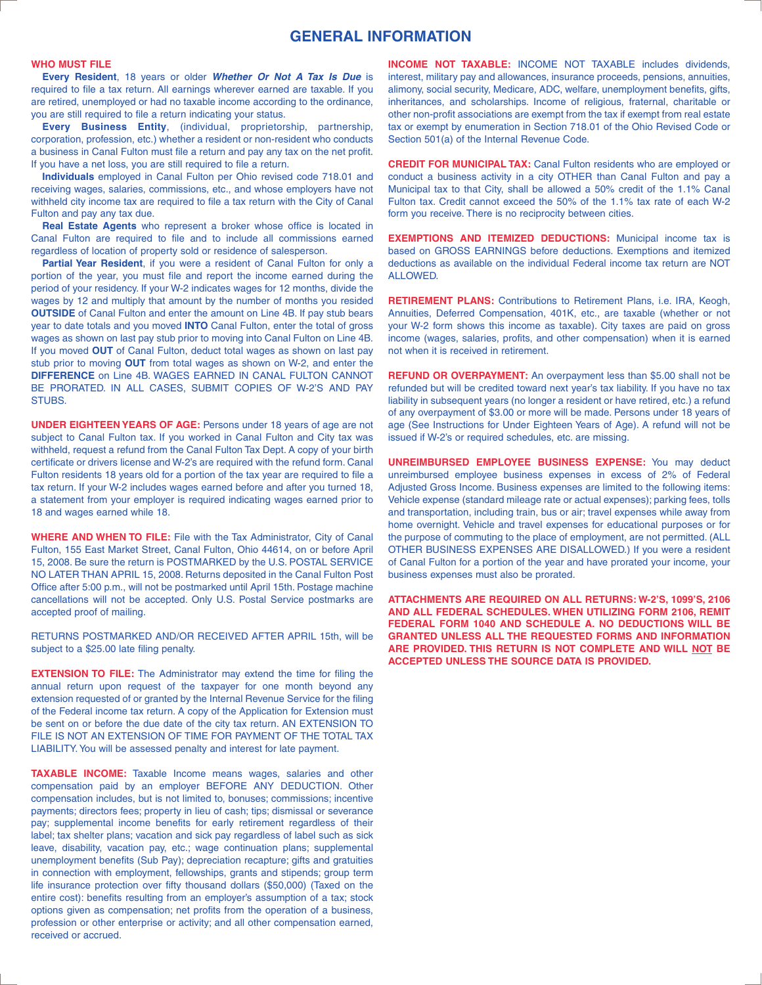# **GENERAL INFORMATION**

## **WHO MUST FILE**

**Every Resident**, 18 years or older *Whether Or Not A Tax Is Due* is required to file a tax return. All earnings wherever earned are taxable. If you are retired, unemployed or had no taxable income according to the ordinance, you are still required to file a return indicating your status.

**Every Business Entity**, (individual, proprietorship, partnership, corporation, profession, etc.) whether a resident or non-resident who conducts a business in Canal Fulton must file a return and pay any tax on the net profit. If you have a net loss, you are still required to file a return.

**Individuals** employed in Canal Fulton per Ohio revised code 718.01 and receiving wages, salaries, commissions, etc., and whose employers have not withheld city income tax are required to file a tax return with the City of Canal Fulton and pay any tax due.

**Real Estate Agents** who represent a broker whose office is located in Canal Fulton are required to file and to include all commissions earned regardless of location of property sold or residence of salesperson.

**Partial Year Resident**, if you were a resident of Canal Fulton for only a portion of the year, you must file and report the income earned during the period of your residency. If your W-2 indicates wages for 12 months, divide the wages by 12 and multiply that amount by the number of months you resided **OUTSIDE** of Canal Fulton and enter the amount on Line 4B. If pay stub bears year to date totals and you moved **INTO** Canal Fulton, enter the total of gross wages as shown on last pay stub prior to moving into Canal Fulton on Line 4B. If you moved **OUT** of Canal Fulton, deduct total wages as shown on last pay stub prior to moving **OUT** from total wages as shown on W-2, and enter the **DIFFERENCE** on Line 4B. WAGES EARNED IN CANAL FULTON CANNOT BE PRORATED. IN ALL CASES, SUBMIT COPIES OF W-2'S AND PAY STUBS.

**UNDER EIGHTEEN YEARS OF AGE:** Persons under 18 years of age are not subject to Canal Fulton tax. If you worked in Canal Fulton and City tax was withheld, request a refund from the Canal Fulton Tax Dept. A copy of your birth certificate or drivers license and W-2's are required with the refund form. Canal Fulton residents 18 years old for a portion of the tax year are required to file a tax return. If your W-2 includes wages earned before and after you turned 18, a statement from your employer is required indicating wages earned prior to 18 and wages earned while 18.

**WHERE AND WHEN TO FILE:** File with the Tax Administrator, City of Canal Fulton, 155 East Market Street, Canal Fulton, Ohio 44614, on or before April 15, 2008. Be sure the return is POSTMARKED by the U.S. POSTAL SERVICE NO LATER THAN APRIL 15, 2008. Returns deposited in the Canal Fulton Post Office after 5:00 p.m., will not be postmarked until April 15th. Postage machine cancellations will not be accepted. Only U.S. Postal Service postmarks are accepted proof of mailing.

RETURNS POSTMARKED AND/OR RECEIVED AFTER APRIL 15th, will be subject to a \$25.00 late filing penalty.

**EXTENSION TO FILE:** The Administrator may extend the time for filing the annual return upon request of the taxpayer for one month beyond any extension requested of or granted by the Internal Revenue Service for the filing of the Federal income tax return. A copy of the Application for Extension must be sent on or before the due date of the city tax return. AN EXTENSION TO FILE IS NOT AN EXTENSION OF TIME FOR PAYMENT OF THE TOTAL TAX LIABILITY. You will be assessed penalty and interest for late payment.

**TAXABLE INCOME:** Taxable Income means wages, salaries and other compensation paid by an employer BEFORE ANY DEDUCTION. Other compensation includes, but is not limited to, bonuses; commissions; incentive payments; directors fees; property in lieu of cash; tips; dismissal or severance pay; supplemental income benefits for early retirement regardless of their label; tax shelter plans; vacation and sick pay regardless of label such as sick leave, disability, vacation pay, etc.; wage continuation plans; supplemental unemployment benefits (Sub Pay); depreciation recapture; gifts and gratuities in connection with employment, fellowships, grants and stipends; group term life insurance protection over fifty thousand dollars (\$50,000) (Taxed on the entire cost): benefits resulting from an employer's assumption of a tax; stock options given as compensation; net profits from the operation of a business, profession or other enterprise or activity; and all other compensation earned, received or accrued.

**INCOME NOT TAXABLE:** INCOME NOT TAXABLE includes dividends, interest, military pay and allowances, insurance proceeds, pensions, annuities, alimony, social security, Medicare, ADC, welfare, unemployment benefits, gifts, inheritances, and scholarships. Income of religious, fraternal, charitable or other non-profit associations are exempt from the tax if exempt from real estate tax or exempt by enumeration in Section 718.01 of the Ohio Revised Code or Section 501(a) of the Internal Revenue Code.

**CREDIT FOR MUNICIPAL TAX:** Canal Fulton residents who are employed or conduct a business activity in a city OTHER than Canal Fulton and pay a Municipal tax to that City, shall be allowed a 50% credit of the 1.1% Canal Fulton tax. Credit cannot exceed the 50% of the 1.1% tax rate of each W-2 form you receive. There is no reciprocity between cities.

**EXEMPTIONS AND ITEMIZED DEDUCTIONS:** Municipal income tax is based on GROSS EARNINGS before deductions. Exemptions and itemized deductions as available on the individual Federal income tax return are NOT ALLOWED.

**RETIREMENT PLANS:** Contributions to Retirement Plans, i.e. IRA, Keogh, Annuities, Deferred Compensation, 401K, etc., are taxable (whether or not your W-2 form shows this income as taxable). City taxes are paid on gross income (wages, salaries, profits, and other compensation) when it is earned not when it is received in retirement.

**REFUND OR OVERPAYMENT:** An overpayment less than \$5.00 shall not be refunded but will be credited toward next year's tax liability. If you have no tax liability in subsequent years (no longer a resident or have retired, etc.) a refund of any overpayment of \$3.00 or more will be made. Persons under 18 years of age (See Instructions for Under Eighteen Years of Age). A refund will not be issued if W-2's or required schedules, etc. are missing.

**UNREIMBURSED EMPLOYEE BUSINESS EXPENSE:** You may deduct unreimbursed employee business expenses in excess of 2% of Federal Adjusted Gross Income. Business expenses are limited to the following items: Vehicle expense (standard mileage rate or actual expenses); parking fees, tolls and transportation, including train, bus or air; travel expenses while away from home overnight. Vehicle and travel expenses for educational purposes or for the purpose of commuting to the place of employment, are not permitted. (ALL OTHER BUSINESS EXPENSES ARE DISALLOWED.) If you were a resident of Canal Fulton for a portion of the year and have prorated your income, your business expenses must also be prorated.

**ATTACHMENTS ARE REQUIRED ON ALL RETURNS: W-2'S, 1099'S, 2106 AND ALL FEDERAL SCHEDULES. WHEN UTILIZING FORM 2106, REMIT FEDERAL FORM 1040 AND SCHEDULE A. NO DEDUCTIONS WILL BE GRANTED UNLESS ALL THE REQUESTED FORMS AND INFORMATION ARE PROVIDED. THIS RETURN IS NOT COMPLETE AND WILL NOT BE ACCEPTED UNLESS THE SOURCE DATA IS PROVIDED.**